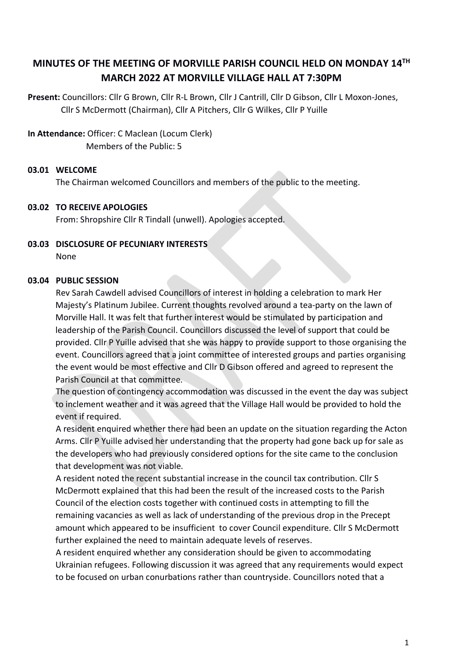# **MINUTES OF THE MEETING OF MORVILLE PARISH COUNCIL HELD ON MONDAY 14TH MARCH 2022 AT MORVILLE VILLAGE HALL AT 7:30PM**

**Present:** Councillors: Cllr G Brown, Cllr R-L Brown, Cllr J Cantrill, Cllr D Gibson, Cllr L Moxon-Jones, Cllr S McDermott (Chairman), Cllr A Pitchers, Cllr G Wilkes, Cllr P Yuille

#### **In Attendance:** Officer: C Maclean (Locum Clerk)

Members of the Public: 5

#### **03.01 WELCOME**

The Chairman welcomed Councillors and members of the public to the meeting.

#### **03.02 TO RECEIVE APOLOGIES**

From: Shropshire Cllr R Tindall (unwell). Apologies accepted.

# **03.03 DISCLOSURE OF PECUNIARY INTERESTS**

None

#### **03.04 PUBLIC SESSION**

Rev Sarah Cawdell advised Councillors of interest in holding a celebration to mark Her Majesty's Platinum Jubilee. Current thoughts revolved around a tea-party on the lawn of Morville Hall. It was felt that further interest would be stimulated by participation and leadership of the Parish Council. Councillors discussed the level of support that could be provided. Cllr P Yuille advised that she was happy to provide support to those organising the event. Councillors agreed that a joint committee of interested groups and parties organising the event would be most effective and Cllr D Gibson offered and agreed to represent the Parish Council at that committee.

The question of contingency accommodation was discussed in the event the day was subject to inclement weather and it was agreed that the Village Hall would be provided to hold the event if required.

A resident enquired whether there had been an update on the situation regarding the Acton Arms. Cllr P Yuille advised her understanding that the property had gone back up for sale as the developers who had previously considered options for the site came to the conclusion that development was not viable.

A resident noted the recent substantial increase in the council tax contribution. Cllr S McDermott explained that this had been the result of the increased costs to the Parish Council of the election costs together with continued costs in attempting to fill the remaining vacancies as well as lack of understanding of the previous drop in the Precept amount which appeared to be insufficient to cover Council expenditure. Cllr S McDermott further explained the need to maintain adequate levels of reserves.

A resident enquired whether any consideration should be given to accommodating Ukrainian refugees. Following discussion it was agreed that any requirements would expect to be focused on urban conurbations rather than countryside. Councillors noted that a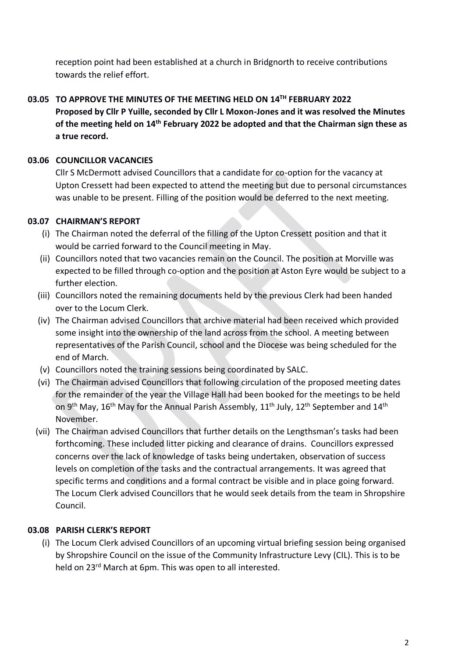reception point had been established at a church in Bridgnorth to receive contributions towards the relief effort.

**03.05 TO APPROVE THE MINUTES OF THE MEETING HELD ON 14 TH FEBRUARY 2022 Proposed by Cllr P Yuille, seconded by Cllr L Moxon-Jones and it was resolved the Minutes of the meeting held on 14 th February 2022 be adopted and that the Chairman sign these as a true record.**

## **03.06 COUNCILLOR VACANCIES**

Cllr S McDermott advised Councillors that a candidate for co-option for the vacancy at Upton Cressett had been expected to attend the meeting but due to personal circumstances was unable to be present. Filling of the position would be deferred to the next meeting.

# **03.07 CHAIRMAN'S REPORT**

- (i) The Chairman noted the deferral of the filling of the Upton Cressett position and that it would be carried forward to the Council meeting in May.
- (ii) Councillors noted that two vacancies remain on the Council. The position at Morville was expected to be filled through co-option and the position at Aston Eyre would be subject to a further election.
- (iii) Councillors noted the remaining documents held by the previous Clerk had been handed over to the Locum Clerk.
- (iv) The Chairman advised Councillors that archive material had been received which provided some insight into the ownership of the land across from the school. A meeting between representatives of the Parish Council, school and the Diocese was being scheduled for the end of March.
- (v) Councillors noted the training sessions being coordinated by SALC.
- (vi) The Chairman advised Councillors that following circulation of the proposed meeting dates for the remainder of the year the Village Hall had been booked for the meetings to be held on 9<sup>th</sup> May, 16<sup>th</sup> May for the Annual Parish Assembly, 11<sup>th</sup> July, 12<sup>th</sup> September and 14<sup>th</sup> November.
- (vii) The Chairman advised Councillors that further details on the Lengthsman's tasks had been forthcoming. These included litter picking and clearance of drains. Councillors expressed concerns over the lack of knowledge of tasks being undertaken, observation of success levels on completion of the tasks and the contractual arrangements. It was agreed that specific terms and conditions and a formal contract be visible and in place going forward. The Locum Clerk advised Councillors that he would seek details from the team in Shropshire Council.

# **03.08 PARISH CLERK'S REPORT**

(i) The Locum Clerk advised Councillors of an upcoming virtual briefing session being organised by Shropshire Council on the issue of the Community Infrastructure Levy (CIL). This is to be held on 23<sup>rd</sup> March at 6pm. This was open to all interested.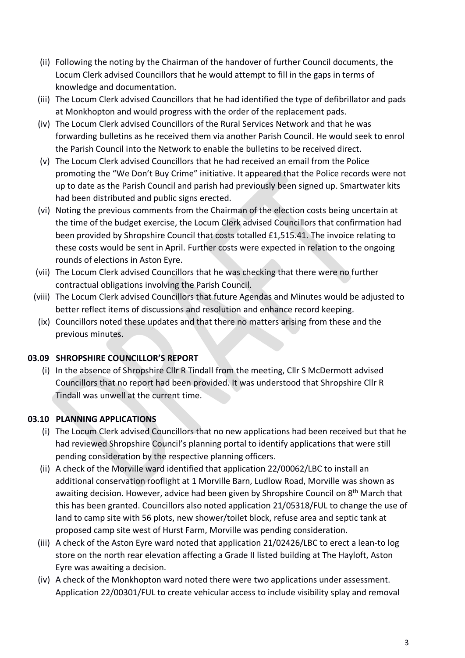- (ii) Following the noting by the Chairman of the handover of further Council documents, the Locum Clerk advised Councillors that he would attempt to fill in the gaps in terms of knowledge and documentation.
- (iii) The Locum Clerk advised Councillors that he had identified the type of defibrillator and pads at Monkhopton and would progress with the order of the replacement pads.
- (iv) The Locum Clerk advised Councillors of the Rural Services Network and that he was forwarding bulletins as he received them via another Parish Council. He would seek to enrol the Parish Council into the Network to enable the bulletins to be received direct.
- (v) The Locum Clerk advised Councillors that he had received an email from the Police promoting the "We Don't Buy Crime" initiative. It appeared that the Police records were not up to date as the Parish Council and parish had previously been signed up. Smartwater kits had been distributed and public signs erected.
- (vi) Noting the previous comments from the Chairman of the election costs being uncertain at the time of the budget exercise, the Locum Clerk advised Councillors that confirmation had been provided by Shropshire Council that costs totalled £1,515.41. The invoice relating to these costs would be sent in April. Further costs were expected in relation to the ongoing rounds of elections in Aston Eyre.
- (vii) The Locum Clerk advised Councillors that he was checking that there were no further contractual obligations involving the Parish Council.
- (viii) The Locum Clerk advised Councillors that future Agendas and Minutes would be adjusted to better reflect items of discussions and resolution and enhance record keeping.
- (ix) Councillors noted these updates and that there no matters arising from these and the previous minutes.

## **03.09 SHROPSHIRE COUNCILLOR'S REPORT**

(i) In the absence of Shropshire Cllr R Tindall from the meeting, Cllr S McDermott advised Councillors that no report had been provided. It was understood that Shropshire Cllr R Tindall was unwell at the current time.

# **03.10 PLANNING APPLICATIONS**

- (i) The Locum Clerk advised Councillors that no new applications had been received but that he had reviewed Shropshire Council's planning portal to identify applications that were still pending consideration by the respective planning officers.
- (ii) A check of the Morville ward identified that application 22/00062/LBC to install an additional conservation rooflight at 1 Morville Barn, Ludlow Road, Morville was shown as awaiting decision. However, advice had been given by Shropshire Council on 8<sup>th</sup> March that this has been granted. Councillors also noted application 21/05318/FUL to change the use of land to camp site with 56 plots, new shower/toilet block, refuse area and septic tank at proposed camp site west of Hurst Farm, Morville was pending consideration.
- (iii) A check of the Aston Eyre ward noted that application 21/02426/LBC to erect a lean-to log store on the north rear elevation affecting a Grade II listed building at The Hayloft, Aston Eyre was awaiting a decision.
- (iv) A check of the Monkhopton ward noted there were two applications under assessment. Application 22/00301/FUL to create vehicular access to include visibility splay and removal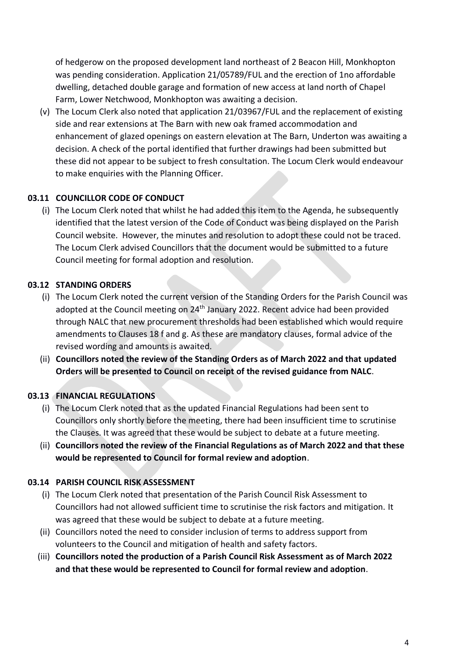of hedgerow on the proposed development land northeast of 2 Beacon Hill, Monkhopton was pending consideration. Application 21/05789/FUL and the erection of 1no affordable dwelling, detached double garage and formation of new access at land north of Chapel Farm, Lower Netchwood, Monkhopton was awaiting a decision.

(v) The Locum Clerk also noted that application 21/03967/FUL and the replacement of existing side and rear extensions at The Barn with new oak framed accommodation and enhancement of glazed openings on eastern elevation at The Barn, Underton was awaiting a decision. A check of the portal identified that further drawings had been submitted but these did not appear to be subject to fresh consultation. The Locum Clerk would endeavour to make enquiries with the Planning Officer.

### **03.11 COUNCILLOR CODE OF CONDUCT**

(i) The Locum Clerk noted that whilst he had added this item to the Agenda, he subsequently identified that the latest version of the Code of Conduct was being displayed on the Parish Council website. However, the minutes and resolution to adopt these could not be traced. The Locum Clerk advised Councillors that the document would be submitted to a future Council meeting for formal adoption and resolution.

## **03.12 STANDING ORDERS**

- (i) The Locum Clerk noted the current version of the Standing Orders for the Parish Council was adopted at the Council meeting on  $24<sup>th</sup>$  January 2022. Recent advice had been provided through NALC that new procurement thresholds had been established which would require amendments to Clauses 18 f and g. As these are mandatory clauses, formal advice of the revised wording and amounts is awaited.
- (ii) **Councillors noted the review of the Standing Orders as of March 2022 and that updated Orders will be presented to Council on receipt of the revised guidance from NALC**.

## **03.13 FINANCIAL REGULATIONS**

- (i) The Locum Clerk noted that as the updated Financial Regulations had been sent to Councillors only shortly before the meeting, there had been insufficient time to scrutinise the Clauses. It was agreed that these would be subject to debate at a future meeting.
- (ii) **Councillors noted the review of the Financial Regulations as of March 2022 and that these would be represented to Council for formal review and adoption**.

#### **03.14 PARISH COUNCIL RISK ASSESSMENT**

- (i) The Locum Clerk noted that presentation of the Parish Council Risk Assessment to Councillors had not allowed sufficient time to scrutinise the risk factors and mitigation. It was agreed that these would be subject to debate at a future meeting.
- (ii) Councillors noted the need to consider inclusion of terms to address support from volunteers to the Council and mitigation of health and safety factors.
- (iii) **Councillors noted the production of a Parish Council Risk Assessment as of March 2022 and that these would be represented to Council for formal review and adoption**.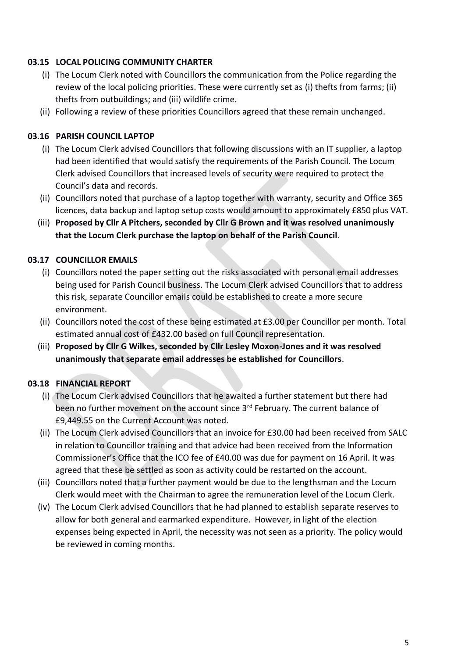#### **03.15 LOCAL POLICING COMMUNITY CHARTER**

- (i) The Locum Clerk noted with Councillors the communication from the Police regarding the review of the local policing priorities. These were currently set as (i) thefts from farms; (ii) thefts from outbuildings; and (iii) wildlife crime.
- (ii) Following a review of these priorities Councillors agreed that these remain unchanged.

### **03.16 PARISH COUNCIL LAPTOP**

- (i) The Locum Clerk advised Councillors that following discussions with an IT supplier, a laptop had been identified that would satisfy the requirements of the Parish Council. The Locum Clerk advised Councillors that increased levels of security were required to protect the Council's data and records.
- (ii) Councillors noted that purchase of a laptop together with warranty, security and Office 365 licences, data backup and laptop setup costs would amount to approximately £850 plus VAT.
- (iii) **Proposed by Cllr A Pitchers, seconded by Cllr G Brown and it was resolved unanimously that the Locum Clerk purchase the laptop on behalf of the Parish Council**.

### **03.17 COUNCILLOR EMAILS**

- (i) Councillors noted the paper setting out the risks associated with personal email addresses being used for Parish Council business. The Locum Clerk advised Councillors that to address this risk, separate Councillor emails could be established to create a more secure environment.
- (ii) Councillors noted the cost of these being estimated at £3.00 per Councillor per month. Total estimated annual cost of £432.00 based on full Council representation.
- (iii) **Proposed by Cllr G Wilkes, seconded by Cllr Lesley Moxon-Jones and it was resolved unanimously that separate email addresses be established for Councillors**.

## **03.18 FINANCIAL REPORT**

- (i) The Locum Clerk advised Councillors that he awaited a further statement but there had been no further movement on the account since 3<sup>rd</sup> February. The current balance of £9,449.55 on the Current Account was noted.
- (ii) The Locum Clerk advised Councillors that an invoice for £30.00 had been received from SALC in relation to Councillor training and that advice had been received from the Information Commissioner's Office that the ICO fee of £40.00 was due for payment on 16 April. It was agreed that these be settled as soon as activity could be restarted on the account.
- (iii) Councillors noted that a further payment would be due to the lengthsman and the Locum Clerk would meet with the Chairman to agree the remuneration level of the Locum Clerk.
- (iv) The Locum Clerk advised Councillors that he had planned to establish separate reserves to allow for both general and earmarked expenditure. However, in light of the election expenses being expected in April, the necessity was not seen as a priority. The policy would be reviewed in coming months.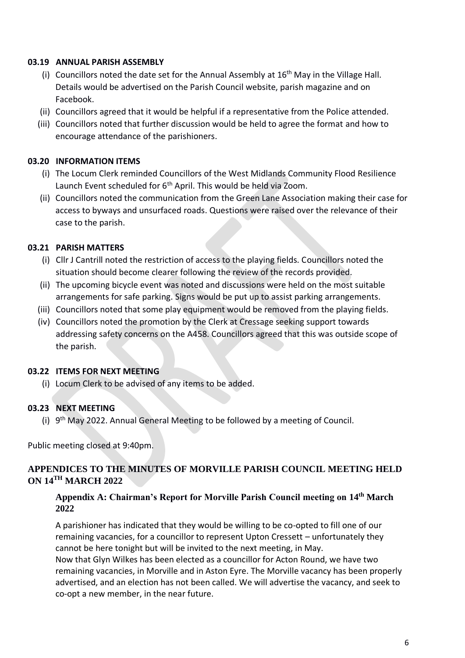#### **03.19 ANNUAL PARISH ASSEMBLY**

- (i) Councillors noted the date set for the Annual Assembly at  $16<sup>th</sup>$  May in the Village Hall. Details would be advertised on the Parish Council website, parish magazine and on Facebook.
- (ii) Councillors agreed that it would be helpful if a representative from the Police attended.
- (iii) Councillors noted that further discussion would be held to agree the format and how to encourage attendance of the parishioners.

#### **03.20 INFORMATION ITEMS**

- (i) The Locum Clerk reminded Councillors of the West Midlands Community Flood Resilience Launch Event scheduled for 6<sup>th</sup> April. This would be held via Zoom.
- (ii) Councillors noted the communication from the Green Lane Association making their case for access to byways and unsurfaced roads. Questions were raised over the relevance of their case to the parish.

### **03.21 PARISH MATTERS**

- (i) Cllr J Cantrill noted the restriction of access to the playing fields. Councillors noted the situation should become clearer following the review of the records provided.
- (ii) The upcoming bicycle event was noted and discussions were held on the most suitable arrangements for safe parking. Signs would be put up to assist parking arrangements.
- (iii) Councillors noted that some play equipment would be removed from the playing fields.
- (iv) Councillors noted the promotion by the Clerk at Cressage seeking support towards addressing safety concerns on the A458. Councillors agreed that this was outside scope of the parish.

#### **03.22 ITEMS FOR NEXT MEETING**

(i) Locum Clerk to be advised of any items to be added.

#### **03.23 NEXT MEETING**

(i)  $9<sup>th</sup>$  May 2022. Annual General Meeting to be followed by a meeting of Council.

Public meeting closed at 9:40pm.

### **APPENDICES TO THE MINUTES OF MORVILLE PARISH COUNCIL MEETING HELD ON 14TH MARCH 2022**

#### **Appendix A: Chairman's Report for Morville Parish Council meeting on 14th March 2022**

A parishioner has indicated that they would be willing to be co-opted to fill one of our remaining vacancies, for a councillor to represent Upton Cressett – unfortunately they cannot be here tonight but will be invited to the next meeting, in May. Now that Glyn Wilkes has been elected as a councillor for Acton Round, we have two remaining vacancies, in Morville and in Aston Eyre. The Morville vacancy has been properly advertised, and an election has not been called. We will advertise the vacancy, and seek to co-opt a new member, in the near future.